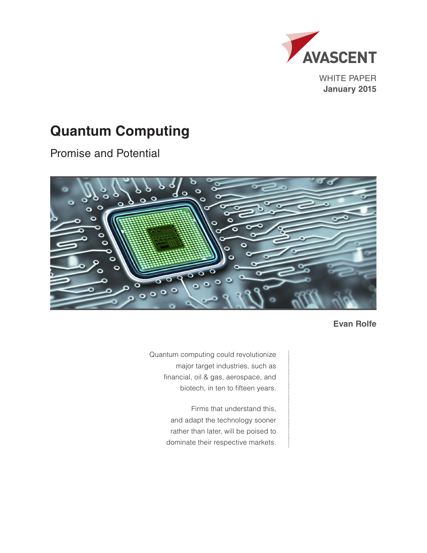

WHITE PAPER **January 2015**

# **Quantum Computing**

Promise and Potential



**Evan Rolfe**

Quantum computing could revolutionize major target industries, such as financial, oil & gas, aerospace, and biotech, in ten to fifteen years.

> Firms that understand this, and adapt the technology sooner rather than later, will be poised to dominate their respective markets.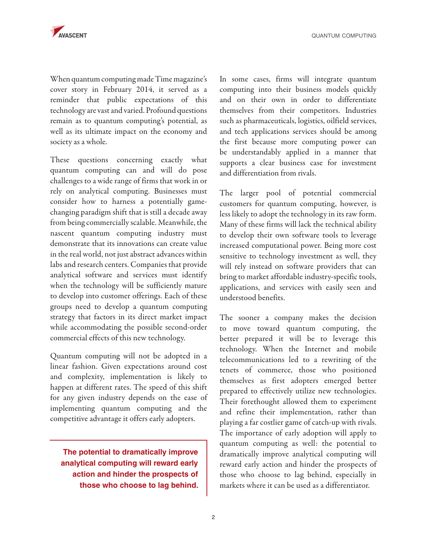QUANTUM COMPUTING

When quantum computing made Time magazine's cover story in February 2014, it served as a reminder that public expectations of this technology are vast and varied. Profound questions remain as to quantum computing's potential, as well as its ultimate impact on the economy and society as a whole.

These questions concerning exactly what quantum computing can and will do pose challenges to a wide range of firms that work in or rely on analytical computing. Businesses must consider how to harness a potentially gamechanging paradigm shift that is still a decade away from being commercially scalable. Meanwhile, the nascent quantum computing industry must demonstrate that its innovations can create value in the real world, not just abstract advances within labs and research centers. Companies that provide analytical software and services must identify when the technology will be sufficiently mature to develop into customer offerings. Each of these groups need to develop a quantum computing strategy that factors in its direct market impact while accommodating the possible second-order commercial effects of this new technology.

Quantum computing will not be adopted in a linear fashion. Given expectations around cost and complexity, implementation is likely to happen at different rates. The speed of this shift for any given industry depends on the ease of implementing quantum computing and the competitive advantage it offers early adopters.

**The potential to dramatically improve analytical computing will reward early action and hinder the prospects of those who choose to lag behind.**

In some cases, firms will integrate quantum computing into their business models quickly and on their own in order to differentiate themselves from their competitors. Industries such as pharmaceuticals, logistics, oilfield services, and tech applications services should be among the first because more computing power can be understandably applied in a manner that supports a clear business case for investment and differentiation from rivals.

The larger pool of potential commercial customers for quantum computing, however, is less likely to adopt the technology in its raw form. Many of these firms will lack the technical ability to develop their own software tools to leverage increased computational power. Being more cost sensitive to technology investment as well, they will rely instead on software providers that can bring to market affordable industry-specific tools, applications, and services with easily seen and understood benefits.

The sooner a company makes the decision to move toward quantum computing, the better prepared it will be to leverage this technology. When the Internet and mobile telecommunications led to a rewriting of the tenets of commerce, those who positioned themselves as first adopters emerged better prepared to effectively utilize new technologies. Their forethought allowed them to experiment and refine their implementation, rather than playing a far costlier game of catch-up with rivals. The importance of early adoption will apply to quantum computing as well: the potential to dramatically improve analytical computing will reward early action and hinder the prospects of those who choose to lag behind, especially in markets where it can be used as a differentiator.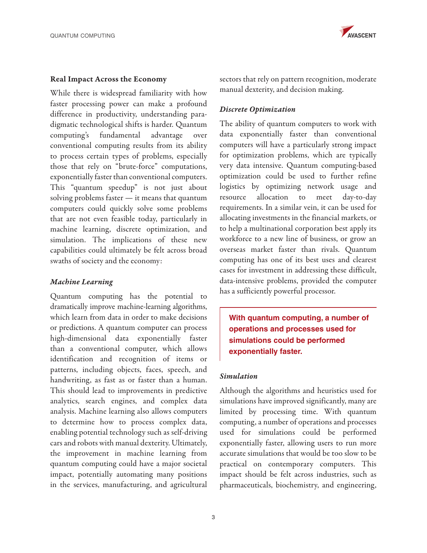

### Real Impact Across the Economy

While there is widespread familiarity with how faster processing power can make a profound difference in productivity, understanding paradigmatic technological shifts is harder. Quantum computing's fundamental advantage over conventional computing results from its ability to process certain types of problems, especially those that rely on "brute-force" computations, exponentially faster than conventional computers. This "quantum speedup" is not just about solving problems faster — it means that quantum computers could quickly solve some problems that are not even feasible today, particularly in machine learning, discrete optimization, and simulation. The implications of these new capabilities could ultimately be felt across broad swaths of society and the economy:

### *Machine Learning*

Quantum computing has the potential to dramatically improve machine-learning algorithms, which learn from data in order to make decisions or predictions. A quantum computer can process high-dimensional data exponentially faster than a conventional computer, which allows identification and recognition of items or patterns, including objects, faces, speech, and handwriting, as fast as or faster than a human. This should lead to improvements in predictive analytics, search engines, and complex data analysis. Machine learning also allows computers to determine how to process complex data, enabling potential technology such as self-driving cars and robots with manual dexterity. Ultimately, the improvement in machine learning from quantum computing could have a major societal impact, potentially automating many positions in the services, manufacturing, and agricultural

sectors that rely on pattern recognition, moderate manual dexterity, and decision making.

### *Discrete Optimization*

The ability of quantum computers to work with data exponentially faster than conventional computers will have a particularly strong impact for optimization problems, which are typically very data intensive. Quantum computing-based optimization could be used to further refine logistics by optimizing network usage and resource allocation to meet day-to-day requirements. In a similar vein, it can be used for allocating investments in the financial markets, or to help a multinational corporation best apply its workforce to a new line of business, or grow an overseas market faster than rivals. Quantum computing has one of its best uses and clearest cases for investment in addressing these difficult, data-intensive problems, provided the computer has a sufficiently powerful processor.

**With quantum computing, a number of operations and processes used for simulations could be performed exponentially faster.**

### *Simulation*

Although the algorithms and heuristics used for simulations have improved significantly, many are limited by processing time. With quantum computing, a number of operations and processes used for simulations could be performed exponentially faster, allowing users to run more accurate simulations that would be too slow to be practical on contemporary computers. This impact should be felt across industries, such as pharmaceuticals, biochemistry, and engineering,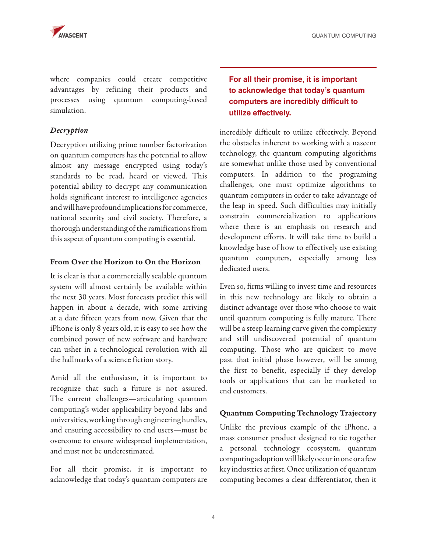

QUANTUM COMPUTING

where companies could create competitive advantages by refining their products and processes using quantum computing-based simulation.

### *Decryption*

Decryption utilizing prime number factorization on quantum computers has the potential to allow almost any message encrypted using today's standards to be read, heard or viewed. This potential ability to decrypt any communication holds significant interest to intelligence agencies and will have profound implications for commerce, national security and civil society. Therefore, a thorough understanding of the ramifications from this aspect of quantum computing is essential.

### From Over the Horizon to On the Horizon

It is clear is that a commercially scalable quantum system will almost certainly be available within the next 30 years. Most forecasts predict this will happen in about a decade, with some arriving at a date fifteen years from now. Given that the iPhone is only 8 years old, it is easy to see how the combined power of new software and hardware can usher in a technological revolution with all the hallmarks of a science fiction story.

Amid all the enthusiasm, it is important to recognize that such a future is not assured. The current challenges—articulating quantum computing's wider applicability beyond labs and universities, working through engineering hurdles, and ensuring accessibility to end users—must be overcome to ensure widespread implementation, and must not be underestimated.

For all their promise, it is important to acknowledge that today's quantum computers are

## **For all their promise, it is important to acknowledge that today's quantum computers are incredibly difficult to utilize effectively.**

incredibly difficult to utilize effectively. Beyond the obstacles inherent to working with a nascent technology, the quantum computing algorithms are somewhat unlike those used by conventional computers. In addition to the programing challenges, one must optimize algorithms to quantum computers in order to take advantage of the leap in speed. Such difficulties may initially constrain commercialization to applications where there is an emphasis on research and development efforts. It will take time to build a knowledge base of how to effectively use existing quantum computers, especially among less dedicated users.

Even so, firms willing to invest time and resources in this new technology are likely to obtain a distinct advantage over those who choose to wait until quantum computing is fully mature. There will be a steep learning curve given the complexity and still undiscovered potential of quantum computing. Those who are quickest to move past that initial phase however, will be among the first to benefit, especially if they develop tools or applications that can be marketed to end customers.

### Quantum Computing Technology Trajectory

Unlike the previous example of the iPhone, a mass consumer product designed to tie together a personal technology ecosystem, quantum computing adoption will likely occur in one or a few key industries at first. Once utilization of quantum computing becomes a clear differentiator, then it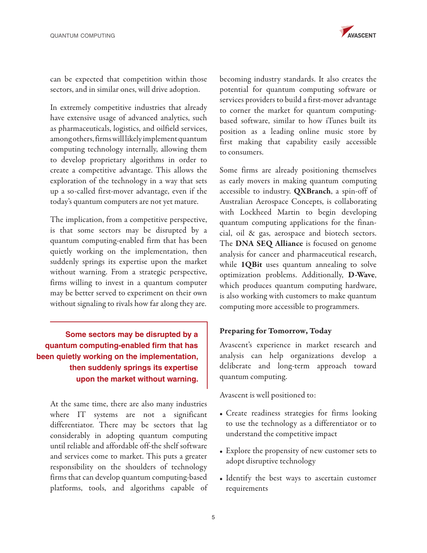

can be expected that competition within those sectors, and in similar ones, will drive adoption.

In extremely competitive industries that already have extensive usage of advanced analytics, such as pharmaceuticals, logistics, and oilfield services, among others, firms will likely implement quantum computing technology internally, allowing them to develop proprietary algorithms in order to create a competitive advantage. This allows the exploration of the technology in a way that sets up a so-called first-mover advantage, even if the today's quantum computers are not yet mature.

The implication, from a competitive perspective, is that some sectors may be disrupted by a quantum computing-enabled firm that has been quietly working on the implementation, then suddenly springs its expertise upon the market without warning. From a strategic perspective, firms willing to invest in a quantum computer may be better served to experiment on their own without signaling to rivals how far along they are.

**Some sectors may be disrupted by a quantum computing-enabled firm that has been quietly working on the implementation, then suddenly springs its expertise upon the market without warning.** 

At the same time, there are also many industries where IT systems are not a significant differentiator. There may be sectors that lag considerably in adopting quantum computing until reliable and affordable off-the shelf software and services come to market. This puts a greater responsibility on the shoulders of technology firms that can develop quantum computing-based platforms, tools, and algorithms capable of

becoming industry standards. It also creates the potential for quantum computing software or services providers to build a first-mover advantage to corner the market for quantum computingbased software, similar to how iTunes built its position as a leading online music store by first making that capability easily accessible to consumers.

Some firms are already positioning themselves as early movers in making quantum computing accessible to industry. QXBranch, a spin-off of Australian Aerospace Concepts, is collaborating with Lockheed Martin to begin developing quantum computing applications for the financial, oil & gas, aerospace and biotech sectors. The DNA SEQ Alliance is focused on genome analysis for cancer and pharmaceutical research, while 1QBit uses quantum annealing to solve optimization problems. Additionally, D-Wave, which produces quantum computing hardware, is also working with customers to make quantum computing more accessible to programmers.

### Preparing for Tomorrow, Today

Avascent's experience in market research and analysis can help organizations develop a deliberate and long-term approach toward quantum computing.

Avascent is well positioned to:

- Create readiness strategies for firms looking to use the technology as a differentiator or to understand the competitive impact
- Explore the propensity of new customer sets to adopt disruptive technology
- Identify the best ways to ascertain customer requirements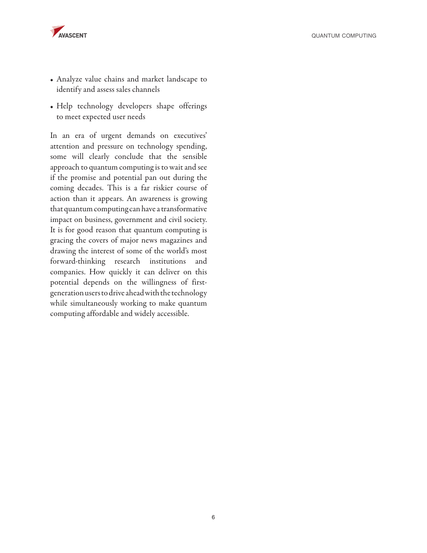

- Analyze value chains and market landscape to identify and assess sales channels
- Help technology developers shape offerings to meet expected user needs

In an era of urgent demands on executives' attention and pressure on technology spending, some will clearly conclude that the sensible approach to quantum computing is to wait and see if the promise and potential pan out during the coming decades. This is a far riskier course of action than it appears. An awareness is growing that quantum computing can have a transformative impact on business, government and civil society. It is for good reason that quantum computing is gracing the covers of major news magazines and drawing the interest of some of the world's most forward-thinking research institutions and companies. How quickly it can deliver on this potential depends on the willingness of firstgeneration users to drive ahead with the technology while simultaneously working to make quantum computing affordable and widely accessible.